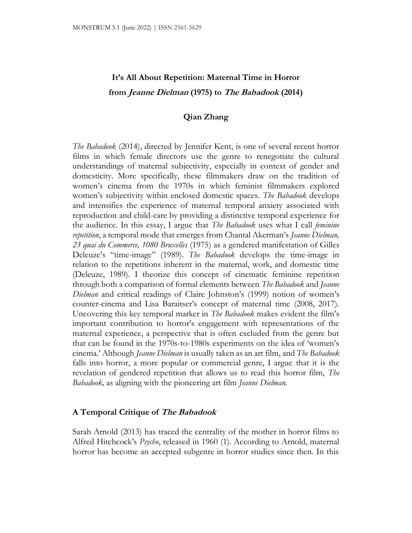# **It's All About Repetition: Maternal Time in Horror from Jeanne Dielman (1975) to The Babadook (2014)**

# **Qian Zhang**

*The Babadook* (2014), directed by Jennifer Kent, is one of several recent horror films in which female directors use the genre to renegotiate the cultural understandings of maternal subjectivity, especially in context of gender and domesticity. More specifically, these filmmakers draw on the tradition of women's cinema from the 1970s in which feminist filmmakers explored women's subjectivity within enclosed domestic spaces. *The Babadook* develops and intensifies the experience of maternal temporal anxiety associated with reproduction and child-care by providing a distinctive temporal experience for the audience. In this essay, I argue that *The Babadook* uses what I call *feminine repetition*, a temporal mode that emerges from Chantal Akerman's *Jeanne Dielman, 23 quai du Commerce, 1080 Bruxelles* (1975) as a gendered manifestation of Gilles Deleuze's "time-image" (1989). *The Babadook* develops the time-image in relation to the repetitions inherent in the maternal, work, and domestic time (Deleuze, 1989). I theorize this concept of cinematic feminine repetition through both a comparison of formal elements between *The Babadook* and *Jeanne Dielman* and critical readings of Claire Johnston's (1999) notion of women's counter-cinema and Lisa Baraitser's concept of maternal time (2008, 2017). Uncovering this key temporal marker in *The Babadook* makes evident the film's important contribution to horror's engagement with representations of the maternal experience, a perspective that is often excluded from the genre but that can be found in the 1970s-to-1980s experiments on the idea of 'women's cinema.' Although *Jeanne Dielman* is usually taken as an art film, and *The Babadook*  falls into horror, a more popular or commercial genre, I argue that it is the revelation of gendered repetition that allows us to read this horror film, *The Babadook,* as aligning with the pioneering art film *Jeanne Dielman.*

## **A Temporal Critique of The Babadook**

Sarah Arnold (2013) has traced the centrality of the mother in horror films to Alfred Hitchcock's *Psycho*, released in 1960 (1). According to Arnold, maternal horror has become an accepted subgenre in horror studies since then. In this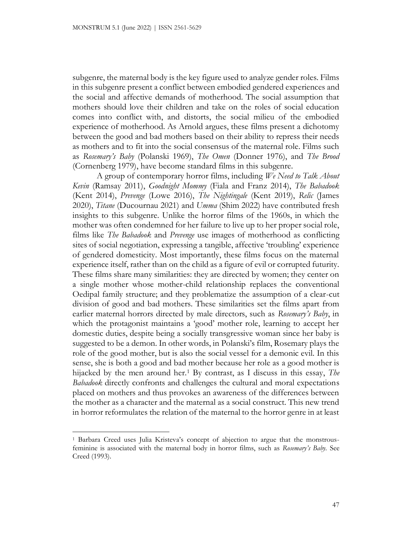subgenre, the maternal body is the key figure used to analyze gender roles. Films in this subgenre present a conflict between embodied gendered experiences and the social and affective demands of motherhood. The social assumption that mothers should love their children and take on the roles of social education comes into conflict with, and distorts, the social milieu of the embodied experience of motherhood. As Arnold argues, these films present a dichotomy between the good and bad mothers based on their ability to repress their needs as mothers and to fit into the social consensus of the maternal role. Films such as *Rosemary's Baby* (Polanski 1969), *The Omen* (Donner 1976), and *The Brood*  (Cornenberg 1979), have become standard films in this subgenre.

A group of contemporary horror films, including *We Need to Talk About Kevin* (Ramsay 2011), *Goodnight Mommy* (Fiala and Franz 2014), *The Babadook*  (Kent 2014), *Prevenge* (Lowe 2016), *The Nightingale* (Kent 2019), *Relic* (James 2020), *Titane* (Ducournau 2021) and *Umma* (Shim 2022) have contributed fresh insights to this subgenre. Unlike the horror films of the 1960s, in which the mother was often condemned for her failure to live up to her proper social role, films like *The Babadook* and *Prevenge* use images of motherhood as conflicting sites of social negotiation, expressing a tangible, affective 'troubling' experience of gendered domesticity. Most importantly, these films focus on the maternal experience itself, rather than on the child as a figure of evil or corrupted futurity. These films share many similarities: they are directed by women; they center on a single mother whose mother-child relationship replaces the conventional Oedipal family structure; and they problematize the assumption of a clear-cut division of good and bad mothers. These similarities set the films apart from earlier maternal horrors directed by male directors, such as *Rosemary's Baby*, in which the protagonist maintains a 'good' mother role, learning to accept her domestic duties, despite being a socially transgressive woman since her baby is suggested to be a demon. In other words, in Polanski's film, Rosemary plays the role of the good mother, but is also the social vessel for a demonic evil. In this sense, she is both a good and bad mother because her role as a good mother is hijacked by the men around her.<sup>1</sup> By contrast, as I discuss in this essay, *The Babadook* directly confronts and challenges the cultural and moral expectations placed on mothers and thus provokes an awareness of the differences between the mother as a character and the maternal as a social construct. This new trend in horror reformulates the relation of the maternal to the horror genre in at least

<sup>1</sup> Barbara Creed uses Julia Kristeva's concept of abjection to argue that the monstrousfeminine is associated with the maternal body in horror films, such as *Rosemary's Baby.* See Creed (1993).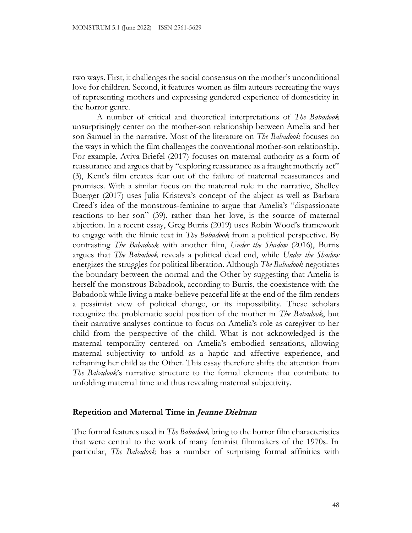two ways. First, it challenges the social consensus on the mother's unconditional love for children. Second, it features women as film auteurs recreating the ways of representing mothers and expressing gendered experience of domesticity in the horror genre.

A number of critical and theoretical interpretations of *The Babadook* unsurprisingly center on the mother-son relationship between Amelia and her son Samuel in the narrative. Most of the literature on *The Babadook* focuses on the ways in which the film challenges the conventional mother-son relationship. For example, Aviva Briefel (2017) focuses on maternal authority as a form of reassurance and argues that by "exploring reassurance as a fraught motherly act" (3), Kent's film creates fear out of the failure of maternal reassurances and promises. With a similar focus on the maternal role in the narrative, Shelley Buerger (2017) uses Julia Kristeva's concept of the abject as well as Barbara Creed's idea of the monstrous-feminine to argue that Amelia's "dispassionate reactions to her son" (39), rather than her love, is the source of maternal abjection. In a recent essay, Greg Burris (2019) uses Robin Wood's framework to engage with the filmic text in *The Babadook* from a political perspective. By contrasting *The Babadook* with another film, *Under the Shadow* (2016), Burris argues that *The Babadook* reveals a political dead end, while *Under the Shadow* energizes the struggles for political liberation. Although *The Babadook* negotiates the boundary between the normal and the Other by suggesting that Amelia is herself the monstrous Babadook, according to Burris, the coexistence with the Babadook while living a make-believe peaceful life at the end of the film renders a pessimist view of political change, or its impossibility. These scholars recognize the problematic social position of the mother in *The Babadook*, but their narrative analyses continue to focus on Amelia's role as caregiver to her child from the perspective of the child. What is not acknowledged is the maternal temporality centered on Amelia's embodied sensations, allowing maternal subjectivity to unfold as a haptic and affective experience, and reframing her child as the Other. This essay therefore shifts the attention from *The Babadook*'s narrative structure to the formal elements that contribute to unfolding maternal time and thus revealing maternal subjectivity.

# **Repetition and Maternal Time in Jeanne Dielman**

The formal features used in *The Babadook* bring to the horror film characteristics that were central to the work of many feminist filmmakers of the 1970s. In particular, *The Babadook* has a number of surprising formal affinities with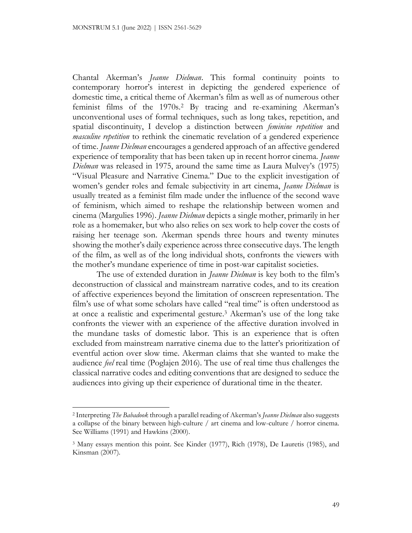Chantal Akerman's *Jeanne Dielman*. This formal continuity points to contemporary horror's interest in depicting the gendered experience of domestic time, a critical theme of Akerman's film as well as of numerous other feminist films of the 1970s.<sup>2</sup> By tracing and re-examining Akerman's unconventional uses of formal techniques, such as long takes, repetition, and spatial discontinuity, I develop a distinction between *feminine repetition* and *masculine repetition* to rethink the cinematic revelation of a gendered experience of time. *Jeanne Dielman* encourages a gendered approach of an affective gendered experience of temporality that has been taken up in recent horror cinema. *Jeanne Dielman* was released in 1975, around the same time as Laura Mulvey's (1975) "Visual Pleasure and Narrative Cinema." Due to the explicit investigation of women's gender roles and female subjectivity in art cinema, *Jeanne Dielman* is usually treated as a feminist film made under the influence of the second wave of feminism, which aimed to reshape the relationship between women and cinema (Margulies 1996). *Jeanne Dielman* depicts a single mother, primarily in her role as a homemaker, but who also relies on sex work to help cover the costs of raising her teenage son. Akerman spends three hours and twenty minutes showing the mother's daily experience across three consecutive days. The length of the film, as well as of the long individual shots, confronts the viewers with the mother's mundane experience of time in post-war capitalist societies.

The use of extended duration in *Jeanne Dielman* is key both to the film's deconstruction of classical and mainstream narrative codes, and to its creation of affective experiences beyond the limitation of onscreen representation. The film's use of what some scholars have called "real time" is often understood as at once a realistic and experimental gesture.<sup>3</sup> Akerman's use of the long take confronts the viewer with an experience of the affective duration involved in the mundane tasks of domestic labor. This is an experience that is often excluded from mainstream narrative cinema due to the latter's prioritization of eventful action over slow time. Akerman claims that she wanted to make the audience *feel* real time (Poglajen 2016). The use of real time thus challenges the classical narrative codes and editing conventions that are designed to seduce the audiences into giving up their experience of durational time in the theater.

<sup>2</sup> Interpreting *The Babadook* through a parallel reading of Akerman's *Jeanne Dielman* also suggests a collapse of the binary between high-culture / art cinema and low-culture / horror cinema. See Williams (1991) and Hawkins (2000).

<sup>3</sup> Many essays mention this point. See Kinder (1977), Rich (1978), De Lauretis (1985), and Kinsman (2007).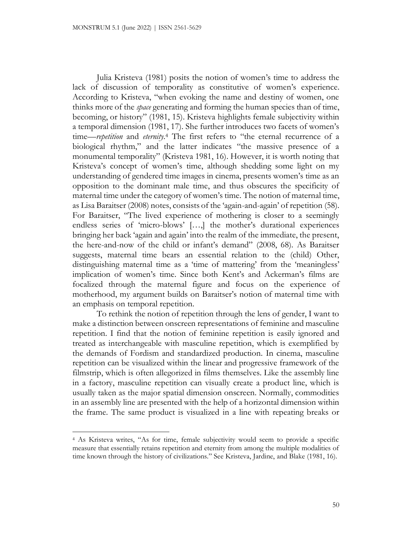Julia Kristeva (1981) posits the notion of women's time to address the lack of discussion of temporality as constitutive of women's experience. According to Kristeva, "when evoking the name and destiny of women, one thinks more of the *space* generating and forming the human species than of time, becoming, or history" (1981, 15). Kristeva highlights female subjectivity within a temporal dimension (1981, 17). She further introduces two facets of women's time—*repetition* and *eternity*. <sup>4</sup> The first refers to "the eternal recurrence of a biological rhythm," and the latter indicates "the massive presence of a monumental temporality" (Kristeva 1981, 16). However, it is worth noting that Kristeva's concept of women's time, although shedding some light on my understanding of gendered time images in cinema, presents women's time as an opposition to the dominant male time, and thus obscures the specificity of maternal time under the category of women's time. The notion of maternal time, as Lisa Baraitser (2008) notes, consists of the 'again-and-again' of repetition (58). For Baraitser, "The lived experience of mothering is closer to a seemingly endless series of 'micro-blows' […,] the mother's durational experiences bringing her back 'again and again' into the realm of the immediate, the present, the here-and-now of the child or infant's demand" (2008, 68). As Baraitser suggests, maternal time bears an essential relation to the (child) Other, distinguishing maternal time as a 'time of mattering' from the 'meaningless' implication of women's time. Since both Kent's and Ackerman's films are focalized through the maternal figure and focus on the experience of motherhood, my argument builds on Baraitser's notion of maternal time with an emphasis on temporal repetition.

To rethink the notion of repetition through the lens of gender, I want to make a distinction between onscreen representations of feminine and masculine repetition. I find that the notion of feminine repetition is easily ignored and treated as interchangeable with masculine repetition, which is exemplified by the demands of Fordism and standardized production. In cinema, masculine repetition can be visualized within the linear and progressive framework of the filmstrip, which is often allegorized in films themselves. Like the assembly line in a factory, masculine repetition can visually create a product line, which is usually taken as the major spatial dimension onscreen. Normally, commodities in an assembly line are presented with the help of a horizontal dimension within the frame. The same product is visualized in a line with repeating breaks or

<sup>4</sup> As Kristeva writes, "As for time, female subjectivity would seem to provide a specific measure that essentially retains repetition and eternity from among the multiple modalities of time known through the history of civilizations." See Kristeva, Jardine, and Blake (1981, 16).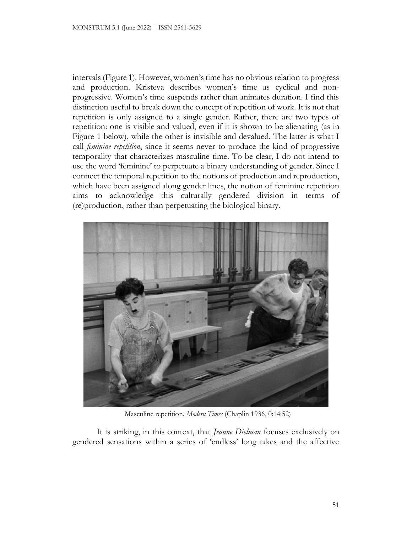intervals (Figure 1). However, women's time has no obvious relation to progress and production. Kristeva describes women's time as cyclical and nonprogressive. Women's time suspends rather than animates duration. I find this distinction useful to break down the concept of repetition of work. It is not that repetition is only assigned to a single gender. Rather, there are two types of repetition: one is visible and valued, even if it is shown to be alienating (as in Figure 1 below), while the other is invisible and devalued. The latter is what I call *feminine repetition*, since it seems never to produce the kind of progressive temporality that characterizes masculine time*.* To be clear, I do not intend to use the word 'feminine' to perpetuate a binary understanding of gender. Since I connect the temporal repetition to the notions of production and reproduction, which have been assigned along gender lines, the notion of feminine repetition aims to acknowledge this culturally gendered division in terms of (re)production, rather than perpetuating the biological binary.



Masculine repetition. *Modern Times* (Chaplin 1936, 0:14:52)

It is striking, in this context, that *Jeanne Dielman* focuses exclusively on gendered sensations within a series of 'endless' long takes and the affective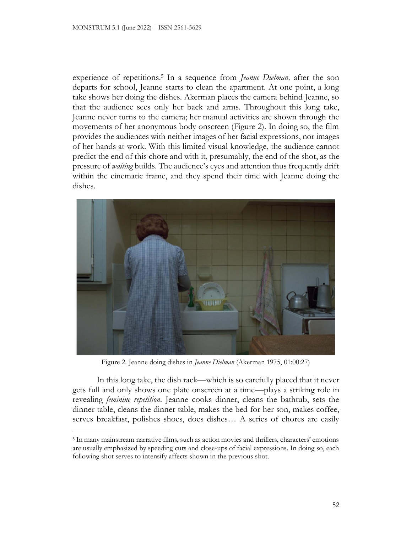experience of repetitions.<sup>5</sup> In a sequence from *Jeanne Dielman,* after the son departs for school, Jeanne starts to clean the apartment. At one point, a long take shows her doing the dishes. Akerman places the camera behind Jeanne, so that the audience sees only her back and arms. Throughout this long take, Jeanne never turns to the camera; her manual activities are shown through the movements of her anonymous body onscreen (Figure 2). In doing so, the film provides the audiences with neither images of her facial expressions, nor images of her hands at work. With this limited visual knowledge, the audience cannot predict the end of this chore and with it, presumably, the end of the shot, as the pressure of *waiting* builds. The audience's eyes and attention thus frequently drift within the cinematic frame, and they spend their time with Jeanne doing the dishes.



Figure 2. Jeanne doing dishes in *Jeanne Dielman* (Akerman 1975, 01:00:27)

In this long take, the dish rack—which is so carefully placed that it never gets full and only shows one plate onscreen at a time—plays a striking role in revealing *feminine repetition*. Jeanne cooks dinner, cleans the bathtub, sets the dinner table, cleans the dinner table, makes the bed for her son, makes coffee, serves breakfast, polishes shoes, does dishes… A series of chores are easily

<sup>5</sup> In many mainstream narrative films, such as action movies and thrillers, characters' emotions are usually emphasized by speeding cuts and close-ups of facial expressions. In doing so, each following shot serves to intensify affects shown in the previous shot.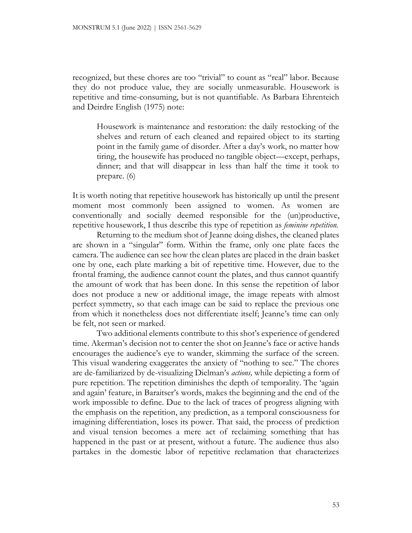recognized, but these chores are too "trivial" to count as "real" labor. Because they do not produce value, they are socially unmeasurable. Housework is repetitive and time-consuming, but is not quantifiable. As Barbara Ehrenteich and Deirdre English (1975) note:

Housework is maintenance and restoration: the daily restocking of the shelves and return of each cleaned and repaired object to its starting point in the family game of disorder. After a day's work, no matter how tiring, the housewife has produced no tangible object––except, perhaps, dinner; and that will disappear in less than half the time it took to prepare. (6)

It is worth noting that repetitive housework has historically up until the present moment most commonly been assigned to women. As women are conventionally and socially deemed responsible for the (un)productive, repetitive housework, I thus describe this type of repetition as *feminine repetition.*

Returning to the medium shot of Jeanne doing dishes, the cleaned plates are shown in a "singular" form. Within the frame, only one plate faces the camera. The audience can see how the clean plates are placed in the drain basket one by one, each plate marking a bit of repetitive time. However, due to the frontal framing, the audience cannot count the plates, and thus cannot quantify the amount of work that has been done. In this sense the repetition of labor does not produce a new or additional image, the image repeats with almost perfect symmetry, so that each image can be said to replace the previous one from which it nonetheless does not differentiate itself; Jeanne's time can only be felt, not seen or marked.

Two additional elements contribute to this shot's experience of gendered time. Akerman's decision not to center the shot on Jeanne's face or active hands encourages the audience's eye to wander, skimming the surface of the screen. This visual wandering exaggerates the anxiety of "nothing to see." The chores are de-familiarized by de-visualizing Dielman's *actions,* while depicting a form of pure repetition. The repetition diminishes the depth of temporality. The 'again and again' feature, in Baraitser's words, makes the beginning and the end of the work impossible to define. Due to the lack of traces of progress aligning with the emphasis on the repetition, any prediction, as a temporal consciousness for imagining differentiation, loses its power. That said, the process of prediction and visual tension becomes a mere act of reclaiming something that has happened in the past or at present, without a future. The audience thus also partakes in the domestic labor of repetitive reclamation that characterizes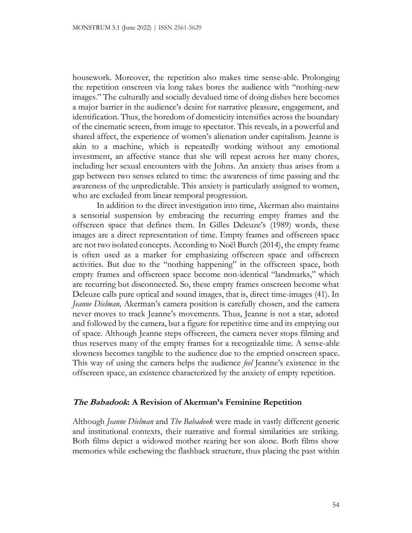housework. Moreover, the repetition also makes time sense-able. Prolonging the repetition onscreen via long takes bores the audience with "nothing-new images." The culturally and socially devalued time of doing dishes here becomes a major barrier in the audience's desire for narrative pleasure, engagement, and identification. Thus, the boredom of domesticity intensifies across the boundary of the cinematic screen, from image to spectator. This reveals, in a powerful and shared affect, the experience of women's alienation under capitalism. Jeanne is akin to a machine, which is repeatedly working without any emotional investment, an affective stance that she will repeat across her many chores, including her sexual encounters with the Johns. An anxiety thus arises from a gap between two senses related to time: the awareness of time passing and the awareness of the unpredictable. This anxiety is particularly assigned to women, who are excluded from linear temporal progression.

In addition to the direct investigation into time, Akerman also maintains a sensorial suspension by embracing the recurring empty frames and the offscreen space that defines them. In Gilles Deleuze's (1989) words, these images are a direct representation of time. Empty frames and offscreen space are not two isolated concepts. According to Noël Burch (2014), the empty frame is often used as a marker for emphasizing offscreen space and offscreen activities. But due to the "nothing happening" in the offscreen space, both empty frames and offscreen space become non-identical "landmarks," which are recurring but disconnected. So, these empty frames onscreen become what Deleuze calls pure optical and sound images, that is, direct time-images (41). In *Jeanne Dielman,* Akerman's camera position is carefully chosen, and the camera never moves to track Jeanne's movements. Thus, Jeanne is not a star, adored and followed by the camera, but a figure for repetitive time and its emptying out of space. Although Jeanne steps offscreen, the camera never stops filming and thus reserves many of the empty frames for a recognizable time. A sense-able slowness becomes tangible to the audience due to the emptied onscreen space. This way of using the camera helps the audience *feel* Jeanne's existence in the offscreen space, an existence characterized by the anxiety of empty repetition.

## **The Babadook: A Revision of Akerman's Feminine Repetition**

Although *Jeanne Dielman* and *The Babadook* were made in vastly different generic and institutional contexts, their narrative and formal similarities are striking. Both films depict a widowed mother rearing her son alone. Both films show memories while eschewing the flashback structure, thus placing the past within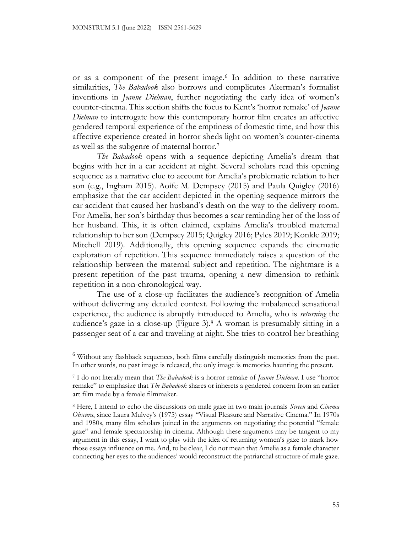or as a component of the present image.<sup>6</sup> In addition to these narrative similarities, *The Babadook* also borrows and complicates Akerman's formalist inventions in *Jeanne Dielman*, further negotiating the early idea of women's counter-cinema. This section shifts the focus to Kent's 'horror remake' of *Jeanne Dielman* to interrogate how this contemporary horror film creates an affective gendered temporal experience of the emptiness of domestic time, and how this affective experience created in horror sheds light on women's counter-cinema as well as the subgenre of maternal horror.<sup>7</sup>

*The Babadook* opens with a sequence depicting Amelia's dream that begins with her in a car accident at night. Several scholars read this opening sequence as a narrative clue to account for Amelia's problematic relation to her son (e.g., Ingham 2015). Aoife M. Dempsey (2015) and Paula Quigley (2016) emphasize that the car accident depicted in the opening sequence mirrors the car accident that caused her husband's death on the way to the delivery room. For Amelia, her son's birthday thus becomes a scar reminding her of the loss of her husband. This, it is often claimed, explains Amelia's troubled maternal relationship to her son (Dempsey 2015; Quigley 2016; Pyles 2019; Konkle 2019; Mitchell 2019). Additionally, this opening sequence expands the cinematic exploration of repetition. This sequence immediately raises a question of the relationship between the maternal subject and repetition. The nightmare is a present repetition of the past trauma, opening a new dimension to rethink repetition in a non-chronological way.

The use of a close-up facilitates the audience's recognition of Amelia without delivering any detailed context. Following the imbalanced sensational experience, the audience is abruptly introduced to Amelia, who is *returning* the audience's gaze in a close-up (Figure 3).<sup>8</sup> A woman is presumably sitting in a passenger seat of a car and traveling at night. She tries to control her breathing

<sup>6</sup> Without any flashback sequences, both films carefully distinguish memories from the past. In other words, no past image is released, the only image is memories haunting the present.

<sup>7</sup> I do not literally mean that *The Babadook* is a horror remake of *Jeanne Dielman*. I use "horror remake" to emphasize that *The Babadook* shares or inherets a gendered concern from an earlier art film made by a female filmmaker.

<sup>8</sup> Here, I intend to echo the discussions on male gaze in two main journals *Screen* and *Cinema Obscura*, since Laura Mulvey's (1975) essay "Visual Pleasure and Narrative Cinema." In 1970s and 1980s, many film scholars joined in the arguments on negotiating the potential "female gaze" and female spectatorship in cinema. Although these arguments may be tangent to my argument in this essay, I want to play with the idea of returning women's gaze to mark how those essays influence on me. And, to be clear, I do not mean that Amelia as a female character connecting her eyes to the audiences' would reconstruct the patriarchal structure of male gaze.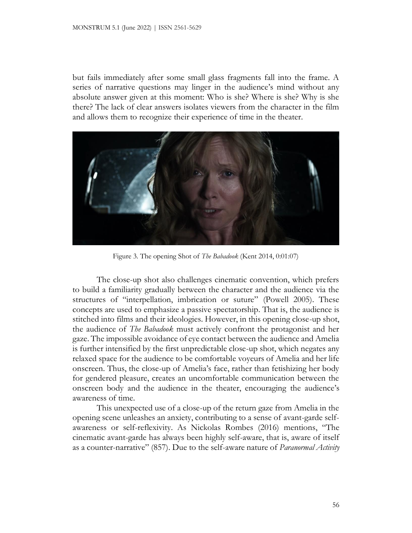but fails immediately after some small glass fragments fall into the frame. A series of narrative questions may linger in the audience's mind without any absolute answer given at this moment: Who is she? Where is she? Why is she there? The lack of clear answers isolates viewers from the character in the film and allows them to recognize their experience of time in the theater.



Figure 3. The opening Shot of *The Babadook* (Kent 2014, 0:01:07)

The close-up shot also challenges cinematic convention, which prefers to build a familiarity gradually between the character and the audience via the structures of "interpellation, imbrication or suture" (Powell 2005). These concepts are used to emphasize a passive spectatorship. That is, the audience is stitched into films and their ideologies. However, in this opening close-up shot, the audience of *The Babadook* must actively confront the protagonist and her gaze. The impossible avoidance of eye contact between the audience and Amelia is further intensified by the first unpredictable close-up shot, which negates any relaxed space for the audience to be comfortable voyeurs of Amelia and her life onscreen. Thus, the close-up of Amelia's face, rather than fetishizing her body for gendered pleasure, creates an uncomfortable communication between the onscreen body and the audience in the theater, encouraging the audience's awareness of time.

This unexpected use of a close-up of the return gaze from Amelia in the opening scene unleashes an anxiety, contributing to a sense of avant-garde selfawareness or self-reflexivity. As Nickolas Rombes (2016) mentions, "The cinematic avant-garde has always been highly self-aware, that is, aware of itself as a counter-narrative" (857). Due to the self-aware nature of *Paranormal Activity*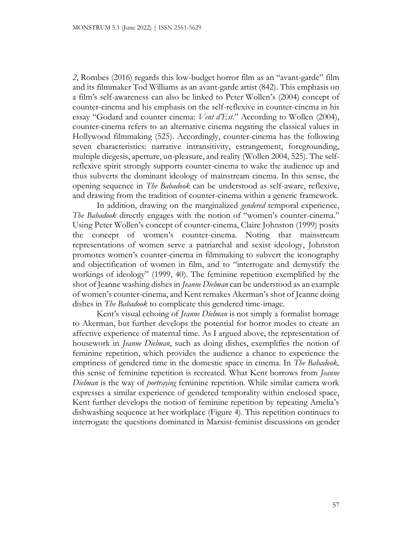*2*, Rombes (2016) regards this low-budget horror film as an "avant-garde" film and its filmmaker Tod Williams as an avant-garde artist (842). This emphasis on a film's self-awareness can also be linked to Peter Wollen's (2004) concept of counter-cinema and his emphasis on the self-reflexive in counter-cinema in his essay "Godard and counter cinema: *Vent d'Est*." According to Wollen (2004), counter-cinema refers to an alternative cinema negating the classical values in Hollywood filmmaking (525). Accordingly, counter-cinema has the following seven characteristics: narrative intransitivity, estrangement, foregrounding, multiple diegesis, aperture, un-pleasure, and reality (Wollen 2004, 525). The selfreflexive spirit strongly supports counter-cinema to wake the audience up and thus subverts the dominant ideology of mainstream cinema. In this sense, the opening sequence in *The Babadook* can be understood as self-aware, reflexive, and drawing from the tradition of counter-cinema within a generic framework.

In addition, drawing on the marginalized *gendered* temporal experience, *The Babadook* directly engages with the notion of "women's counter-cinema." Using Peter Wollen's concept of counter-cinema, Claire Johnston (1999) posits the concept of women's counter-cinema. Noting that mainstream representations of women serve a patriarchal and sexist ideology, Johnston promotes women's counter-cinema in filmmaking to subvert the iconography and objectification of women in film, and to "interrogate and demystify the workings of ideology" (1999, 40). The feminine repetition exemplified by the shot of Jeanne washing dishes in *Jeanne Dielman* can be understood as an example of women's counter-cinema, and Kent remakes Akerman's shot of Jeanne doing dishes in *The Babadook* to complicate this gendered time-image.

Kent's visual echoing of *Jeanne Dielman* is not simply a formalist homage to Akerman, but further develops the potential for horror modes to create an affective experience of maternal time. As I argued above, the representation of housework in *Jeanne Dielman*, such as doing dishes, exemplifies the notion of feminine repetition, which provides the audience a chance to experience the emptiness of gendered time in the domestic space in cinema. In *The Babadook,* this sense of feminine repetition is recreated. What Kent borrows from *Jeanne Dielman* is the way of *portraying* feminine repetition. While similar camera work expresses a similar experience of gendered temporality within enclosed space, Kent further develops the notion of feminine repetition by repeating Amelia's dishwashing sequence at her workplace (Figure 4). This repetition continues to interrogate the questions dominated in Marxist-feminist discussions on gender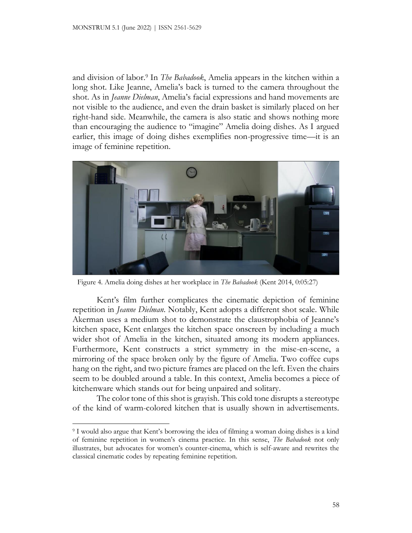and division of labor. <sup>9</sup> In *The Babadook*, Amelia appears in the kitchen within a long shot. Like Jeanne, Amelia's back is turned to the camera throughout the shot. As in *Jeanne Dielman*, Amelia's facial expressions and hand movements are not visible to the audience, and even the drain basket is similarly placed on her right-hand side. Meanwhile, the camera is also static and shows nothing more than encouraging the audience to "imagine" Amelia doing dishes. As I argued earlier, this image of doing dishes exemplifies non-progressive time—it is an image of feminine repetition.



Figure 4. Amelia doing dishes at her workplace in *The Babadook* (Kent 2014, 0:05:27)

Kent's film further complicates the cinematic depiction of feminine repetition in *Jeanne Dielman*. Notably, Kent adopts a different shot scale. While Akerman uses a medium shot to demonstrate the claustrophobia of Jeanne's kitchen space, Kent enlarges the kitchen space onscreen by including a much wider shot of Amelia in the kitchen, situated among its modern appliances. Furthermore, Kent constructs a strict symmetry in the mise-en-scene, a mirroring of the space broken only by the figure of Amelia. Two coffee cups hang on the right, and two picture frames are placed on the left. Even the chairs seem to be doubled around a table. In this context, Amelia becomes a piece of kitchenware which stands out for being unpaired and solitary.

The color tone of this shot is grayish. This cold tone disrupts a stereotype of the kind of warm-colored kitchen that is usually shown in advertisements.

<sup>9</sup> I would also argue that Kent's borrowing the idea of filming a woman doing dishes is a kind of feminine repetition in women's cinema practice. In this sense, *The Babadook* not only illustrates, but advocates for women's counter-cinema, which is self-aware and rewrites the classical cinematic codes by repeating feminine repetition.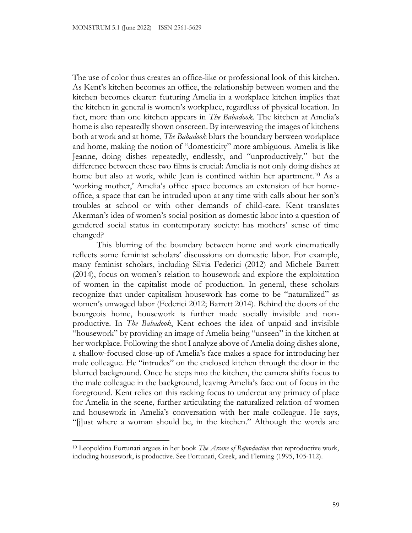The use of color thus creates an office-like or professional look of this kitchen. As Kent's kitchen becomes an office, the relationship between women and the kitchen becomes clearer: featuring Amelia in a workplace kitchen implies that the kitchen in general is women's workplace, regardless of physical location. In fact, more than one kitchen appears in *The Babadook*. The kitchen at Amelia's home is also repeatedly shown onscreen. By interweaving the images of kitchens both at work and at home, *The Babadook* blurs the boundary between workplace and home, making the notion of "domesticity" more ambiguous. Amelia is like Jeanne, doing dishes repeatedly, endlessly, and "unproductively," but the difference between these two films is crucial: Amelia is not only doing dishes at home but also at work, while Jean is confined within her apartment.<sup>10</sup> As a 'working mother,' Amelia's office space becomes an extension of her homeoffice, a space that can be intruded upon at any time with calls about her son's troubles at school or with other demands of child-care. Kent translates Akerman's idea of women's social position as domestic labor into a question of gendered social status in contemporary society: has mothers' sense of time changed?

This blurring of the boundary between home and work cinematically reflects some feminist scholars' discussions on domestic labor. For example, many feminist scholars, including Silvia Federici (2012) and Michele Barrett (2014), focus on women's relation to housework and explore the exploitation of women in the capitalist mode of production. In general, these scholars recognize that under capitalism housework has come to be "naturalized" as women's unwaged labor (Federici 2012; Barrett 2014). Behind the doors of the bourgeois home, housework is further made socially invisible and nonproductive. In *The Babadook*, Kent echoes the idea of unpaid and invisible "housework" by providing an image of Amelia being "unseen" in the kitchen at her workplace. Following the shot I analyze above of Amelia doing dishes alone, a shallow-focused close-up of Amelia's face makes a space for introducing her male colleague. He "intrudes" on the enclosed kitchen through the door in the blurred background. Once he steps into the kitchen, the camera shifts focus to the male colleague in the background, leaving Amelia's face out of focus in the foreground. Kent relies on this racking focus to undercut any primacy of place for Amelia in the scene, further articulating the naturalized relation of women and housework in Amelia's conversation with her male colleague. He says, "[j]ust where a woman should be, in the kitchen." Although the words are

<sup>10</sup> Leopoldina Fortunati argues in her book *The Arcane of Reproduction* that reproductive work, including housework, is productive. See Fortunati, Creek, and Fleming (1995, 105-112).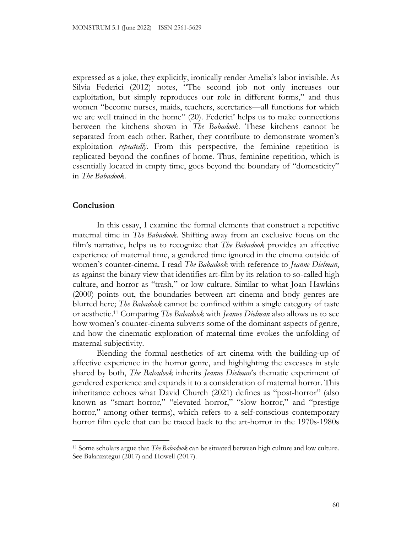expressed as a joke, they explicitly, ironically render Amelia's labor invisible. As Silvia Federici (2012) notes, "The second job not only increases our exploitation, but simply reproduces our role in different forms," and thus women "become nurses, maids, teachers, secretaries—all functions for which we are well trained in the home" (20). Federici' helps us to make connections between the kitchens shown in *The Babadook.* These kitchens cannot be separated from each other. Rather, they contribute to demonstrate women's exploitation *repeatedly*. From this perspective, the feminine repetition is replicated beyond the confines of home. Thus, feminine repetition, which is essentially located in empty time, goes beyond the boundary of "domesticity" in *The Babadook.*

# **Conclusion**

In this essay, I examine the formal elements that construct a repetitive maternal time in *The Babadook*. Shifting away from an exclusive focus on the film's narrative, helps us to recognize that *The Babadook* provides an affective experience of maternal time, a gendered time ignored in the cinema outside of women's counter-cinema. I read *The Babadook* with reference to *Jeanne Dielman*, as against the binary view that identifies art-film by its relation to so-called high culture, and horror as "trash," or low culture. Similar to what Joan Hawkins (2000) points out, the boundaries between art cinema and body genres are blurred here; *The Babadook* cannot be confined within a single category of taste or aesthetic. <sup>11</sup> Comparing *The Babadook* with *Jeanne Dielman* also allows us to see how women's counter-cinema subverts some of the dominant aspects of genre, and how the cinematic exploration of maternal time evokes the unfolding of maternal subjectivity.

Blending the formal aesthetics of art cinema with the building-up of affective experience in the horror genre, and highlighting the excesses in style shared by both, *The Babadook* inherits *Jeanne Dielman*'s thematic experiment of gendered experience and expands it to a consideration of maternal horror. This inheritance echoes what David Church (2021) defines as "post-horror" (also known as "smart horror," "elevated horror," "slow horror," and "prestige horror," among other terms), which refers to a self-conscious contemporary horror film cycle that can be traced back to the art-horror in the 1970s-1980s

<sup>11</sup> Some scholars argue that *The Babadook* can be situated between high culture and low culture. See Balanzategui (2017) and Howell (2017).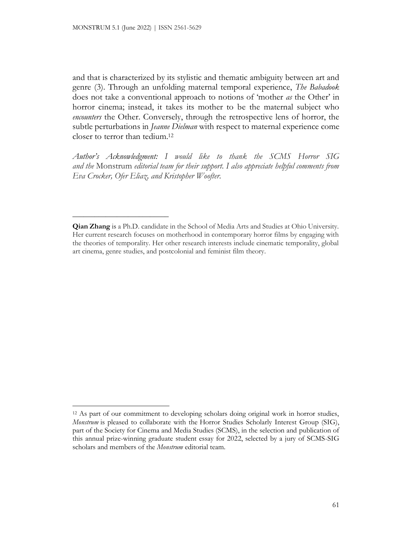**\_\_\_\_\_\_\_\_\_\_\_\_\_\_\_\_\_\_\_\_\_\_\_\_\_\_**

and that is characterized by its stylistic and thematic ambiguity between art and genre (3). Through an unfolding maternal temporal experience, *The Babadook*  does not take a conventional approach to notions of 'mother *as* the Other' in horror cinema; instead, it takes its mother to be the maternal subject who *encounters* the Other. Conversely, through the retrospective lens of horror, the subtle perturbations in *Jeanne Dielman* with respect to maternal experience come closer to terror than tedium. 12

*Author's Acknowledgment: I would like to thank the SCMS Horror SIG and the* Monstrum *editorial team for their support. I also appreciate helpful comments from Eva Crocker, Ofer Eliaz, and Kristopher Woofter.*

**Qian Zhang** is a Ph.D. candidate in the School of Media Arts and Studies at Ohio University. Her current research focuses on motherhood in contemporary horror films by engaging with the theories of temporality. Her other research interests include cinematic temporality, global art cinema, genre studies, and postcolonial and feminist film theory.

<sup>&</sup>lt;sup>12</sup> As part of our commitment to developing scholars doing original work in horror studies, *Monstrum* is pleased to collaborate with the Horror Studies Scholarly Interest Group (SIG), part of the Society for Cinema and Media Studies (SCMS), in the selection and publication of this annual prize-winning graduate student essay for 2022, selected by a jury of SCMS-SIG scholars and members of the *Monstrum* editorial team.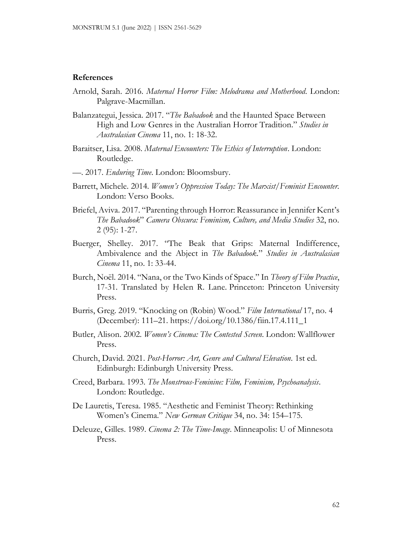#### **References**

- Arnold, Sarah. 2016. *Maternal Horror Film: Melodrama and Motherhood*. London: Palgrave-Macmillan.
- Balanzategui, Jessica. 2017. "*The Babadook* and the Haunted Space Between High and Low Genres in the Australian Horror Tradition." *Studies in Australasian Cinema* 11, no. 1: 18-32.
- Baraitser, Lisa. 2008. *Maternal Encounters: The Ethics of Interruption*. London: Routledge.
- —. 2017. *Enduring Time*. London: Bloomsbury.
- Barrett, Michele. 2014. *Women's Oppression Today: The Marxist/Feminist Encounter.* London: Verso Books.
- Briefel, Aviva. 2017. "Parenting through Horror: Reassurance in Jennifer Kent's *The Babadook*" *Camera Obscura: Feminism, Culture, and Media Studies* 32, no. 2 (95): 1-27.
- Buerger, Shelley. 2017. "The Beak that Grips: Maternal Indifference, Ambivalence and the Abject in *The Babadook*." *Studies in Australasian Cinema* 11, no. 1: 33-44.
- Burch, Noël. 2014. "Nana, or the Two Kinds of Space." In *Theory of Film Practice*, 17-31. Translated by Helen R. Lane*.* Princeton: Princeton University Press.
- Burris, Greg. 2019. "Knocking on (Robin) Wood." *Film International* 17, no. 4 (December): 111–21. https://doi.org/10.1386/fiin.17.4.111\_1
- Butler, Alison. 2002. *Women's Cinema: The Contested Screen*. London: Wallflower Press.
- Church, David. 2021. *Post-Horror: Art, Genre and Cultural Elevation*. 1st ed. Edinburgh: Edinburgh University Press.
- Creed, Barbara. 1993. *The Monstrous-Feminine: Film, Feminism, Psychoanalysis*. London: Routledge.
- De Lauretis, Teresa. 1985. "Aesthetic and Feminist Theory: Rethinking Women's Cinema." *New German Critique* 34, no. 34: 154–175.
- Deleuze, Gilles. 1989. *Cinema 2: The Time-Image*. Minneapolis: U of Minnesota Press.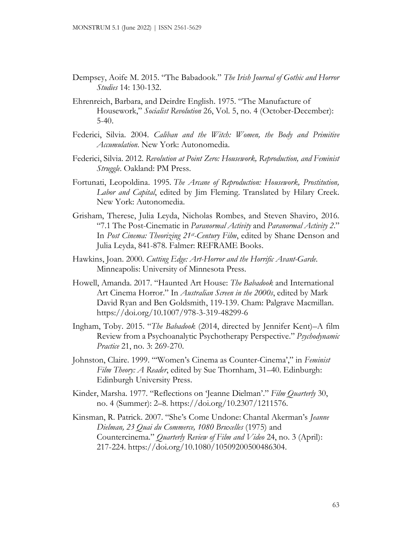- Dempsey, Aoife M. 2015. "The Babadook." *The Irish Journal of Gothic and Horror Studies* 14: 130-132.
- Ehrenreich, Barbara, and Deirdre English. 1975. "The Manufacture of Housework," *Socialist Revolution* 26, Vol. 5, no. 4 (October-December):  $5-40.$
- Federici, Silvia. 2004. *Caliban and the Witch: Women, the Body and Primitive Accumulation*. New York: Autonomedia.
- Federici, Silvia. 2012. *Revolution at Point Zero: Housework, Reproduction, and Feminist Struggle*. Oakland: PM Press.
- Fortunati, Leopoldina. 1995. *The Arcane of Reproduction: Housework, Prostitution, Labor and Capital*, edited by Jim Fleming. Translated by Hilary Creek. New York: Autonomedia.
- Grisham, Therese, Julia Leyda, Nicholas Rombes, and Steven Shaviro, 2016. "7.1 The Post-Cinematic in *Paranormal Activity* and *Paranormal Activity 2*." In *Post Cinema: Theorizing 21<sup>st</sup>-Century Film*, edited by Shane Denson and Julia Leyda, 841-878. Falmer: REFRAME Books.
- Hawkins, Joan. 2000. *Cutting Edge: Art-Horror and the Horrific Avant-Garde*. Minneapolis: University of Minnesota Press.
- Howell, Amanda. 2017. "Haunted Art House: *The Babadook* and International Art Cinema Horror." In *Australian Screen in the 2000s*, edited by Mark David Ryan and Ben Goldsmith, 119-139. Cham: Palgrave Macmillan. https://doi.org/10.1007/978-3-319-48299-6
- Ingham, Toby. 2015. "*The Babadook* (2014, directed by Jennifer Kent)–A film Review from a Psychoanalytic Psychotherapy Perspective." *Psychodynamic Practice* 21, no. 3: 269-270.
- Johnston, Claire. 1999. "'Women's Cinema as Counter-Cinema'," in *Feminist Film Theory: A Reader*, edited by Sue Thornham, 31–40. Edinburgh: Edinburgh University Press.
- Kinder, Marsha. 1977. "Reflections on 'Jeanne Dielman'." *Film Quarterly* 30, no. 4 (Summer): 2–8. https://doi.org/10.2307/1211576.
- Kinsman, R. Patrick. 2007. "She's Come Undone: Chantal Akerman's *Jeanne Dielman, 23 Quai du Commerce, 1080 Bruxelles* (1975) and Countercinema." *Quarterly Review of Film and Video* 24, no. 3 (April): 217-224. https://doi.org/10.1080/10509200500486304.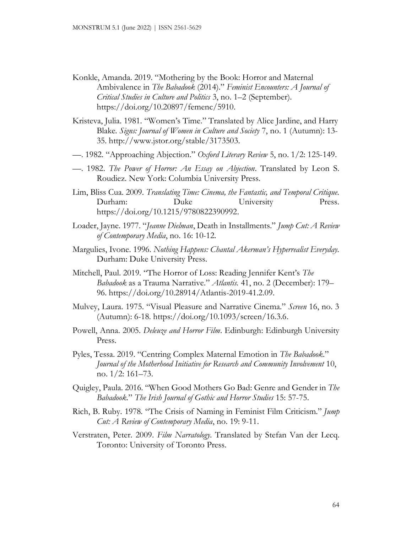- Konkle, Amanda. 2019. "Mothering by the Book: Horror and Maternal Ambivalence in *The Babadook* (2014)." *Feminist Encounters: A Journal of Critical Studies in Culture and Politics* 3, no. 1–2 (September). https://doi.org/10.20897/femenc/5910.
- Kristeva, Julia. 1981. "Women's Time." Translated by Alice Jardine, and Harry Blake*. Signs: Journal of Women in Culture and Society* 7, no. 1 (Autumn): 13- 35. http://www.jstor.org/stable/3173503.
- —. 1982. "Approaching Abjection." *Oxford Literary Review* 5, no. 1/2: 125-149.
- —. 1982. *The Power of Horror: An Essay on Abjection*. Translated by Leon S. Roudiez. New York: Columbia University Press.
- Lim, Bliss Cua. 2009. *Translating Time: Cinema, the Fantastic, and Temporal Critique*. Durham: Duke University Press. https://doi.org/10.1215/9780822390992.
- Loader, Jayne. 1977. "*Jeanne Dielman*, Death in Installments." *Jump Cut: A Review of Contemporary Media*, no. 16: 10-12.
- Margulies, Ivone. 1996. *Nothing Happens: Chantal Akerman's Hyperrealist Everyday*. Durham: Duke University Press.
- Mitchell, Paul. 2019. "The Horror of Loss: Reading Jennifer Kent's *The Babadook* as a Trauma Narrative." *Atlantis.* 41, no. 2 (December): 179– 96. https://doi.org/10.28914/Atlantis-2019-41.2.09.
- Mulvey, Laura. 1975. "Visual Pleasure and Narrative Cinema." *Screen* 16, no. 3 (Autumn): 6-18. https://doi.org/10.1093/screen/16.3.6.
- Powell, Anna. 2005. *Deleuze and Horror Film*. Edinburgh: Edinburgh University Press.
- Pyles, Tessa. 2019. "Centring Complex Maternal Emotion in *The Babadook*." *Journal of the Motherhood Initiative for Research and Community Involvement* 10, no. 1/2: 161–73.
- Quigley, Paula. 2016. "When Good Mothers Go Bad: Genre and Gender in *The Babadook*." *The Irish Journal of Gothic and Horror Studies* 15: 57-75.
- Rich, B. Ruby. 1978. "The Crisis of Naming in Feminist Film Criticism." *Jump Cut: A Review of Contemporary Media*, no. 19: 9-11.
- Verstraten, Peter. 2009. *Film Narratology*. Translated by Stefan Van der Lecq. Toronto: University of Toronto Press.